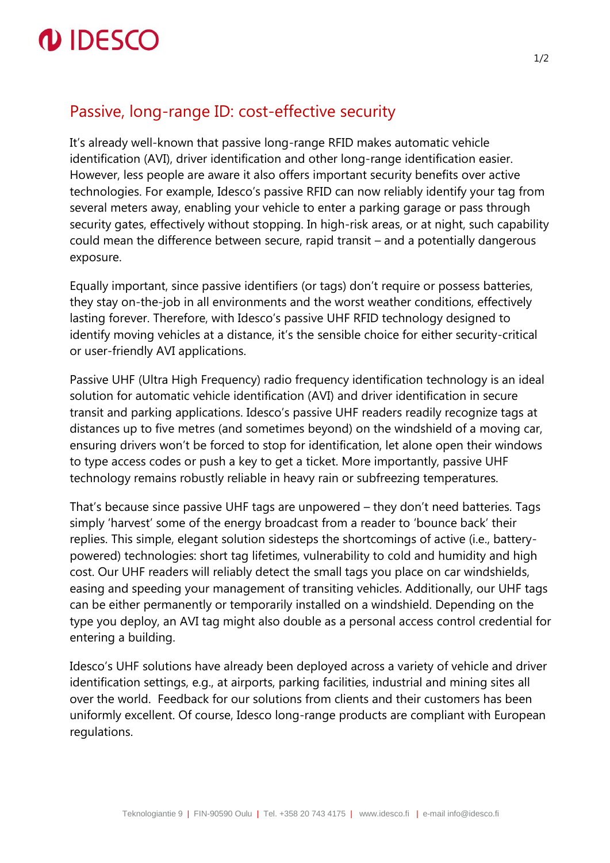

## Passive, long-range ID: cost-effective security

It's already well-known that passive long-range RFID makes automatic vehicle identification (AVI), driver identification and other long-range identification easier. However, less people are aware it also offers important security benefits over active technologies. For example, Idesco's passive RFID can now reliably identify your tag from several meters away, enabling your vehicle to enter a parking garage or pass through security gates, effectively without stopping. In high-risk areas, or at night, such capability could mean the difference between secure, rapid transit – and a potentially dangerous exposure.

Equally important, since passive identifiers (or tags) don't require or possess batteries, they stay on-the-job in all environments and the worst weather conditions, effectively lasting forever. Therefore, with Idesco's passive UHF RFID technology designed to identify moving vehicles at a distance, it's the sensible choice for either security-critical or user-friendly AVI applications.

Passive UHF (Ultra High Frequency) radio frequency identification technology is an ideal solution for automatic vehicle identification (AVI) and driver identification in secure transit and parking applications. Idesco's passive UHF readers readily recognize tags at distances up to five metres (and sometimes beyond) on the windshield of a moving car, ensuring drivers won't be forced to stop for identification, let alone open their windows to type access codes or push a key to get a ticket. More importantly, passive UHF technology remains robustly reliable in heavy rain or subfreezing temperatures.

That's because since passive UHF tags are unpowered – they don't need batteries. Tags simply 'harvest' some of the energy broadcast from a reader to 'bounce back' their replies. This simple, elegant solution sidesteps the shortcomings of active (i.e., batterypowered) technologies: short tag lifetimes, vulnerability to cold and humidity and high cost. Our UHF readers will reliably detect the small tags you place on car windshields, easing and speeding your management of transiting vehicles. Additionally, our UHF tags can be either permanently or temporarily installed on a windshield. Depending on the type you deploy, an AVI tag might also double as a personal access control credential for entering a building.

Idesco's UHF solutions have already been deployed across a variety of vehicle and driver identification settings, e.g., at airports, parking facilities, industrial and mining sites all over the world. Feedback for our solutions from clients and their customers has been uniformly excellent. Of course, Idesco long-range products are compliant with European regulations.